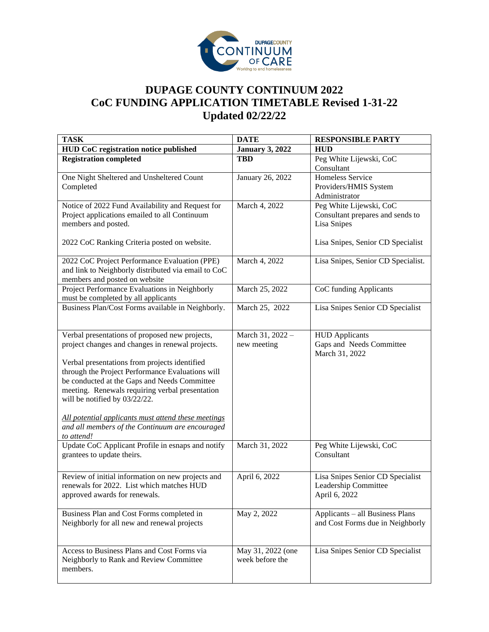

## **DUPAGE COUNTY CONTINUUM 2022 CoC FUNDING APPLICATION TIMETABLE Revised 1-31-22 Updated 02/22/22**

| <b>TASK</b>                                                                                            | <b>DATE</b>            | <b>RESPONSIBLE PARTY</b>           |
|--------------------------------------------------------------------------------------------------------|------------------------|------------------------------------|
| HUD CoC registration notice published                                                                  | <b>January 3, 2022</b> | <b>HUD</b>                         |
| <b>Registration completed</b>                                                                          | <b>TBD</b>             | Peg White Lijewski, CoC            |
|                                                                                                        |                        | Consultant                         |
| One Night Sheltered and Unsheltered Count                                                              | January 26, 2022       | Homeless Service                   |
| Completed                                                                                              |                        | Providers/HMIS System              |
|                                                                                                        |                        | Administrator                      |
| Notice of 2022 Fund Availability and Request for                                                       | March 4, 2022          | Peg White Lijewski, CoC            |
| Project applications emailed to all Continuum                                                          |                        | Consultant prepares and sends to   |
| members and posted.                                                                                    |                        | Lisa Snipes                        |
| 2022 CoC Ranking Criteria posted on website.                                                           |                        | Lisa Snipes, Senior CD Specialist  |
|                                                                                                        |                        |                                    |
| 2022 CoC Project Performance Evaluation (PPE)                                                          | March 4, 2022          | Lisa Snipes, Senior CD Specialist. |
| and link to Neighborly distributed via email to CoC                                                    |                        |                                    |
| members and posted on website                                                                          |                        |                                    |
| Project Performance Evaluations in Neighborly                                                          | March 25, 2022         | CoC funding Applicants             |
| must be completed by all applicants                                                                    |                        |                                    |
| Business Plan/Cost Forms available in Neighborly.                                                      | March 25, 2022         | Lisa Snipes Senior CD Specialist   |
|                                                                                                        |                        |                                    |
| Verbal presentations of proposed new projects,                                                         | March 31, 2022 -       | <b>HUD</b> Applicants              |
| project changes and changes in renewal projects.                                                       | new meeting            | Gaps and Needs Committee           |
|                                                                                                        |                        | March 31, 2022                     |
| Verbal presentations from projects identified                                                          |                        |                                    |
| through the Project Performance Evaluations will                                                       |                        |                                    |
| be conducted at the Gaps and Needs Committee                                                           |                        |                                    |
| meeting. Renewals requiring verbal presentation                                                        |                        |                                    |
| will be notified by 03/22/22.                                                                          |                        |                                    |
|                                                                                                        |                        |                                    |
| All potential applicants must attend these meetings<br>and all members of the Continuum are encouraged |                        |                                    |
| to attend!                                                                                             |                        |                                    |
| Update CoC Applicant Profile in esnaps and notify                                                      | March 31, 2022         | Peg White Lijewski, CoC            |
| grantees to update theirs.                                                                             |                        | Consultant                         |
|                                                                                                        |                        |                                    |
| Review of initial information on new projects and                                                      | April 6, 2022          | Lisa Snipes Senior CD Specialist   |
| renewals for 2022. List which matches HUD                                                              |                        | Leadership Committee               |
| approved awards for renewals.                                                                          |                        | April 6, 2022                      |
|                                                                                                        |                        |                                    |
| Business Plan and Cost Forms completed in                                                              | May 2, 2022            | Applicants - all Business Plans    |
| Neighborly for all new and renewal projects                                                            |                        | and Cost Forms due in Neighborly   |
|                                                                                                        |                        |                                    |
| Access to Business Plans and Cost Forms via                                                            | May 31, 2022 (one      | Lisa Snipes Senior CD Specialist   |
| Neighborly to Rank and Review Committee                                                                | week before the        |                                    |
| members.                                                                                               |                        |                                    |
|                                                                                                        |                        |                                    |